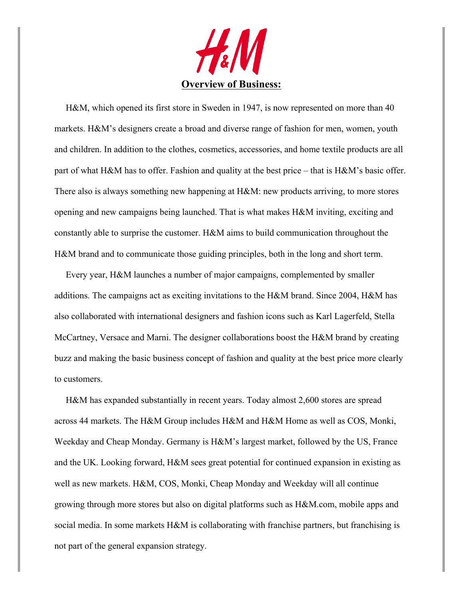

 H&M, which opened its first store in Sweden in 1947, is now represented on more than 40 markets. H&M's designers create a broad and diverse range of fashion for men, women, youth and children. In addition to the clothes, cosmetics, accessories, and home textile products are all part of what H&M has to offer. Fashion and quality at the best price – that is H&M's basic offer. There also is always something new happening at H&M: new products arriving, to more stores opening and new campaigns being launched. That is what makes H&M inviting, exciting and constantly able to surprise the customer. H&M aims to build communication throughout the H&M brand and to communicate those guiding principles, both in the long and short term.

 Every year, H&M launches a number of major campaigns, complemented by smaller additions. The campaigns act as exciting invitations to the H&M brand. Since 2004, H&M has also collaborated with international designers and fashion icons such as Karl Lagerfeld, Stella McCartney, Versace and Marni. The designer collaborations boost the H&M brand by creating buzz and making the basic business concept of fashion and quality at the best price more clearly to customers.

 H&M has expanded substantially in recent years. Today almost 2,600 stores are spread across 44 markets. The H&M Group includes H&M and H&M Home as well as COS, Monki, Weekday and Cheap Monday. Germany is H&M's largest market, followed by the US, France and the UK. Looking forward, H&M sees great potential for continued expansion in existing as well as new markets. H&M, COS, Monki, Cheap Monday and Weekday will all continue growing through more stores but also on digital platforms such as H&M.com, mobile apps and social media. In some markets H&M is collaborating with franchise partners, but franchising is not part of the general expansion strategy.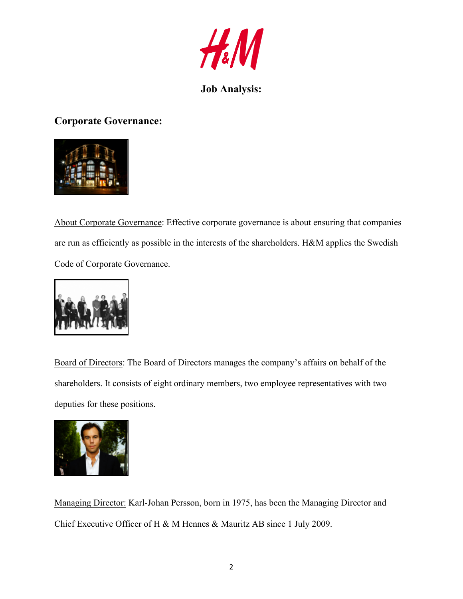

# **Job Analysis:**

**Corporate Governance:**



About Corporate Governance: Effective corporate governance is about ensuring that companies are run as efficiently as possible in the interests of the shareholders. H&M applies the Swedish Code of Corporate Governance.



Board of Directors: The Board of Directors manages the company's affairs on behalf of the shareholders. It consists of eight ordinary members, two employee representatives with two deputies for these positions.



Managing Director: Karl-Johan Persson, born in 1975, has been the Managing Director and Chief Executive Officer of H & M Hennes & Mauritz AB since 1 July 2009.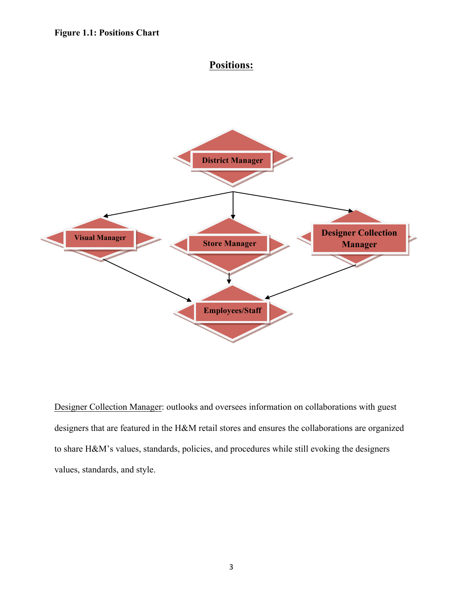# **Positions:**



Designer Collection Manager: outlooks and oversees information on collaborations with guest designers that are featured in the H&M retail stores and ensures the collaborations are organized to share H&M's values, standards, policies, and procedures while still evoking the designers values, standards, and style.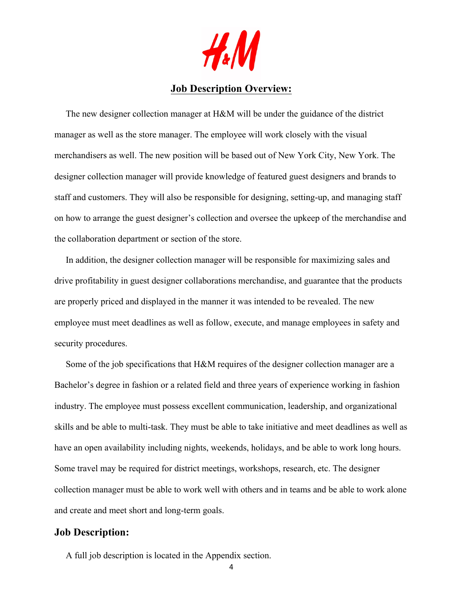

## **Job Description Overview:**

 The new designer collection manager at H&M will be under the guidance of the district manager as well as the store manager. The employee will work closely with the visual merchandisers as well. The new position will be based out of New York City, New York. The designer collection manager will provide knowledge of featured guest designers and brands to staff and customers. They will also be responsible for designing, setting-up, and managing staff on how to arrange the guest designer's collection and oversee the upkeep of the merchandise and the collaboration department or section of the store.

 In addition, the designer collection manager will be responsible for maximizing sales and drive profitability in guest designer collaborations merchandise, and guarantee that the products are properly priced and displayed in the manner it was intended to be revealed. The new employee must meet deadlines as well as follow, execute, and manage employees in safety and security procedures.

 Some of the job specifications that H&M requires of the designer collection manager are a Bachelor's degree in fashion or a related field and three years of experience working in fashion industry. The employee must possess excellent communication, leadership, and organizational skills and be able to multi-task. They must be able to take initiative and meet deadlines as well as have an open availability including nights, weekends, holidays, and be able to work long hours. Some travel may be required for district meetings, workshops, research, etc. The designer collection manager must be able to work well with others and in teams and be able to work alone and create and meet short and long-term goals.

#### **Job Description:**

A full job description is located in the Appendix section.

4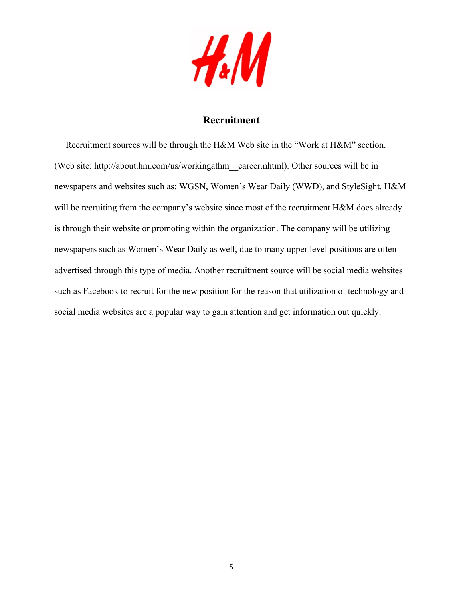

## **Recruitment**

 Recruitment sources will be through the H&M Web site in the "Work at H&M" section. (Web site: http://about.hm.com/us/workingathm\_\_career.nhtml). Other sources will be in newspapers and websites such as: WGSN, Women's Wear Daily (WWD), and StyleSight. H&M will be recruiting from the company's website since most of the recruitment H&M does already is through their website or promoting within the organization. The company will be utilizing newspapers such as Women's Wear Daily as well, due to many upper level positions are often advertised through this type of media. Another recruitment source will be social media websites such as Facebook to recruit for the new position for the reason that utilization of technology and social media websites are a popular way to gain attention and get information out quickly.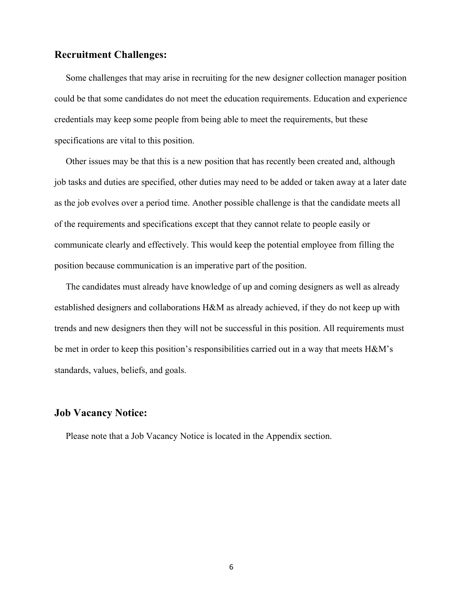#### **Recruitment Challenges:**

 Some challenges that may arise in recruiting for the new designer collection manager position could be that some candidates do not meet the education requirements. Education and experience credentials may keep some people from being able to meet the requirements, but these specifications are vital to this position.

 Other issues may be that this is a new position that has recently been created and, although job tasks and duties are specified, other duties may need to be added or taken away at a later date as the job evolves over a period time. Another possible challenge is that the candidate meets all of the requirements and specifications except that they cannot relate to people easily or communicate clearly and effectively. This would keep the potential employee from filling the position because communication is an imperative part of the position.

 The candidates must already have knowledge of up and coming designers as well as already established designers and collaborations H&M as already achieved, if they do not keep up with trends and new designers then they will not be successful in this position. All requirements must be met in order to keep this position's responsibilities carried out in a way that meets H&M's standards, values, beliefs, and goals.

#### **Job Vacancy Notice:**

Please note that a Job Vacancy Notice is located in the Appendix section.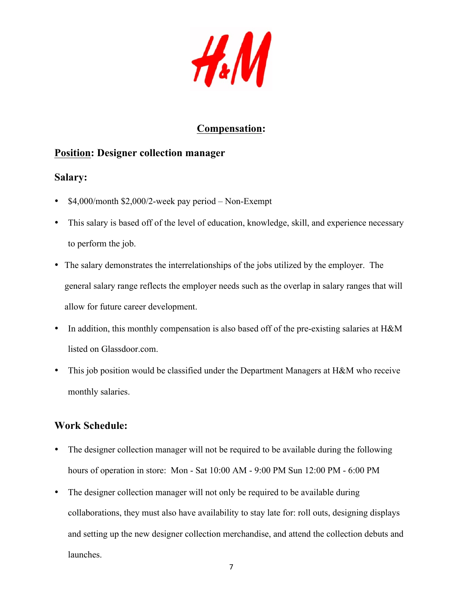$H_*(M)$ 

# **Compensation:**

# **Position: Designer collection manager**

## **Salary:**

- \$4,000/month \$2,000/2-week pay period Non-Exempt
- This salary is based off of the level of education, knowledge, skill, and experience necessary to perform the job.
- The salary demonstrates the interrelationships of the jobs utilized by the employer. The general salary range reflects the employer needs such as the overlap in salary ranges that will allow for future career development.
- In addition, this monthly compensation is also based off of the pre-existing salaries at H&M listed on Glassdoor.com.
- This job position would be classified under the Department Managers at H&M who receive monthly salaries.

# **Work Schedule:**

- The designer collection manager will not be required to be available during the following hours of operation in store: Mon - Sat 10:00 AM - 9:00 PM Sun 12:00 PM - 6:00 PM
- The designer collection manager will not only be required to be available during collaborations, they must also have availability to stay late for: roll outs, designing displays and setting up the new designer collection merchandise, and attend the collection debuts and launches.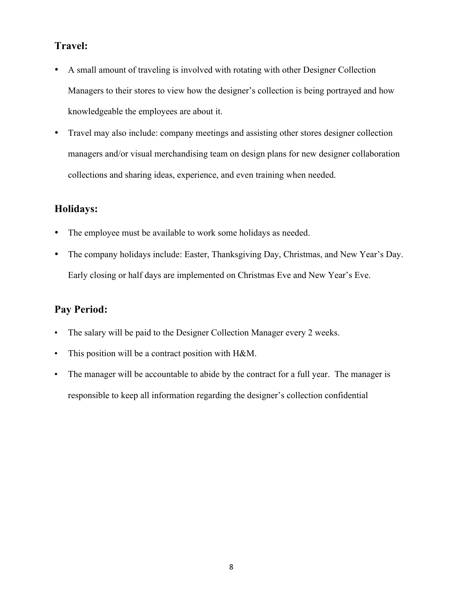## **Travel:**

- A small amount of traveling is involved with rotating with other Designer Collection Managers to their stores to view how the designer's collection is being portrayed and how knowledgeable the employees are about it.
- Travel may also include: company meetings and assisting other stores designer collection managers and/or visual merchandising team on design plans for new designer collaboration collections and sharing ideas, experience, and even training when needed.

## **Holidays:**

- The employee must be available to work some holidays as needed.
- The company holidays include: Easter, Thanksgiving Day, Christmas, and New Year's Day. Early closing or half days are implemented on Christmas Eve and New Year's Eve.

## **Pay Period:**

- The salary will be paid to the Designer Collection Manager every 2 weeks.
- This position will be a contract position with H&M.
- The manager will be accountable to abide by the contract for a full year. The manager is responsible to keep all information regarding the designer's collection confidential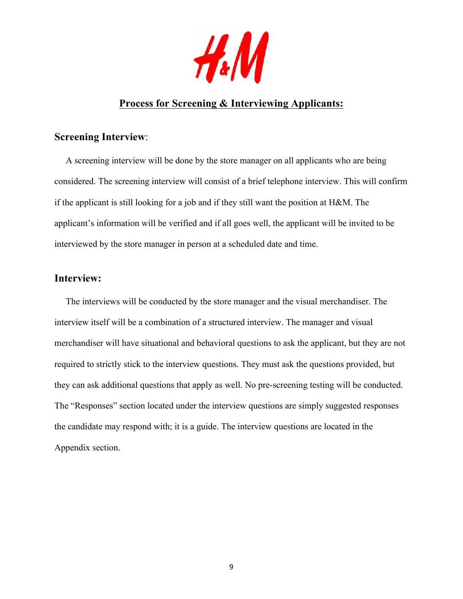

# **Process for Screening & Interviewing Applicants:**

### **Screening Interview**:

 A screening interview will be done by the store manager on all applicants who are being considered. The screening interview will consist of a brief telephone interview. This will confirm if the applicant is still looking for a job and if they still want the position at H&M. The applicant's information will be verified and if all goes well, the applicant will be invited to be interviewed by the store manager in person at a scheduled date and time.

## **Interview:**

 The interviews will be conducted by the store manager and the visual merchandiser. The interview itself will be a combination of a structured interview. The manager and visual merchandiser will have situational and behavioral questions to ask the applicant, but they are not required to strictly stick to the interview questions. They must ask the questions provided, but they can ask additional questions that apply as well. No pre-screening testing will be conducted. The "Responses" section located under the interview questions are simply suggested responses the candidate may respond with; it is a guide. The interview questions are located in the Appendix section.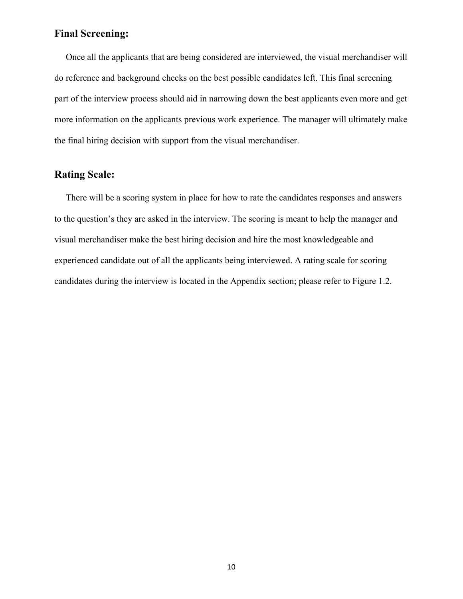#### **Final Screening:**

 Once all the applicants that are being considered are interviewed, the visual merchandiser will do reference and background checks on the best possible candidates left. This final screening part of the interview process should aid in narrowing down the best applicants even more and get more information on the applicants previous work experience. The manager will ultimately make the final hiring decision with support from the visual merchandiser.

### **Rating Scale:**

 There will be a scoring system in place for how to rate the candidates responses and answers to the question's they are asked in the interview. The scoring is meant to help the manager and visual merchandiser make the best hiring decision and hire the most knowledgeable and experienced candidate out of all the applicants being interviewed. A rating scale for scoring candidates during the interview is located in the Appendix section; please refer to Figure 1.2.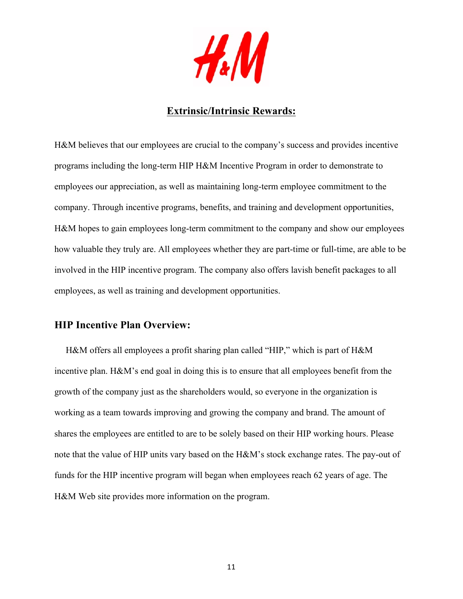

### **Extrinsic/Intrinsic Rewards:**

H&M believes that our employees are crucial to the company's success and provides incentive programs including the long-term HIP H&M Incentive Program in order to demonstrate to employees our appreciation, as well as maintaining long-term employee commitment to the company. Through incentive programs, benefits, and training and development opportunities, H&M hopes to gain employees long-term commitment to the company and show our employees how valuable they truly are. All employees whether they are part-time or full-time, are able to be involved in the HIP incentive program. The company also offers lavish benefit packages to all employees, as well as training and development opportunities.

#### **HIP Incentive Plan Overview:**

 H&M offers all employees a profit sharing plan called "HIP," which is part of H&M incentive plan. H&M's end goal in doing this is to ensure that all employees benefit from the growth of the company just as the shareholders would, so everyone in the organization is working as a team towards improving and growing the company and brand. The amount of shares the employees are entitled to are to be solely based on their HIP working hours. Please note that the value of HIP units vary based on the H&M's stock exchange rates. The pay-out of funds for the HIP incentive program will began when employees reach 62 years of age. The H&M Web site provides more information on the program.

11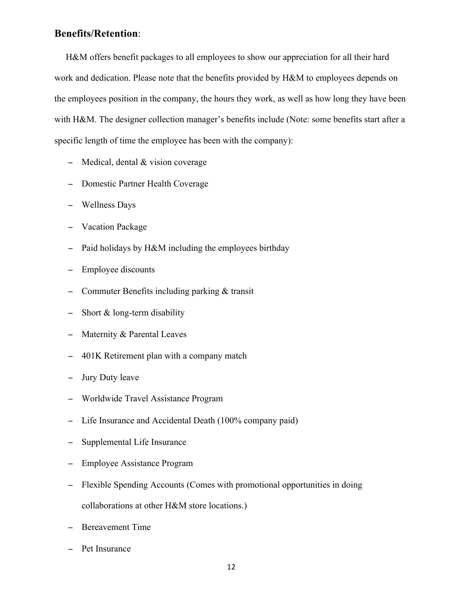#### **Benefits/Retention**:

 H&M offers benefit packages to all employees to show our appreciation for all their hard work and dedication. Please note that the benefits provided by H&M to employees depends on the employees position in the company, the hours they work, as well as how long they have been with H&M. The designer collection manager's benefits include (Note: some benefits start after a specific length of time the employee has been with the company):

- − Medical, dental & vision coverage
- − Domestic Partner Health Coverage
- − Wellness Days
- − Vacation Package
- − Paid holidays by H&M including the employees birthday
- − Employee discounts
- − Commuter Benefits including parking & transit
- − Short & long-term disability
- − Maternity & Parental Leaves
- − 401K Retirement plan with a company match
- − Jury Duty leave
- − Worldwide Travel Assistance Program
- − Life Insurance and Accidental Death (100% company paid)
- − Supplemental Life Insurance
- − Employee Assistance Program
- − Flexible Spending Accounts (Comes with promotional opportunities in doing collaborations at other H&M store locations.)
- − Bereavement Time
- − Pet Insurance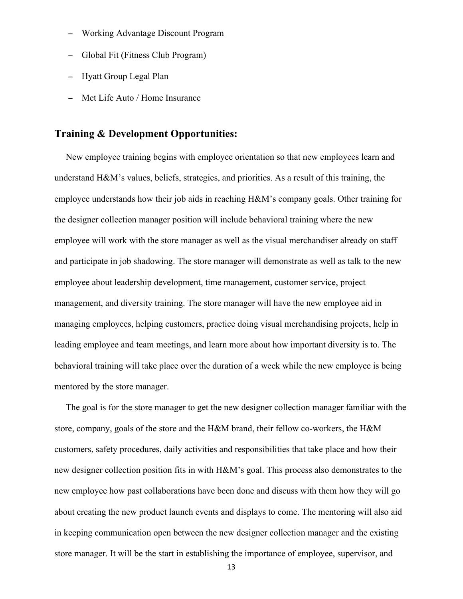- − Working Advantage Discount Program
- − Global Fit (Fitness Club Program)
- − Hyatt Group Legal Plan
- − Met Life Auto / Home Insurance

### **Training & Development Opportunities:**

 New employee training begins with employee orientation so that new employees learn and understand H&M's values, beliefs, strategies, and priorities. As a result of this training, the employee understands how their job aids in reaching H&M's company goals. Other training for the designer collection manager position will include behavioral training where the new employee will work with the store manager as well as the visual merchandiser already on staff and participate in job shadowing. The store manager will demonstrate as well as talk to the new employee about leadership development, time management, customer service, project management, and diversity training. The store manager will have the new employee aid in managing employees, helping customers, practice doing visual merchandising projects, help in leading employee and team meetings, and learn more about how important diversity is to. The behavioral training will take place over the duration of a week while the new employee is being mentored by the store manager.

 The goal is for the store manager to get the new designer collection manager familiar with the store, company, goals of the store and the H&M brand, their fellow co-workers, the H&M customers, safety procedures, daily activities and responsibilities that take place and how their new designer collection position fits in with H&M's goal. This process also demonstrates to the new employee how past collaborations have been done and discuss with them how they will go about creating the new product launch events and displays to come. The mentoring will also aid in keeping communication open between the new designer collection manager and the existing store manager. It will be the start in establishing the importance of employee, supervisor, and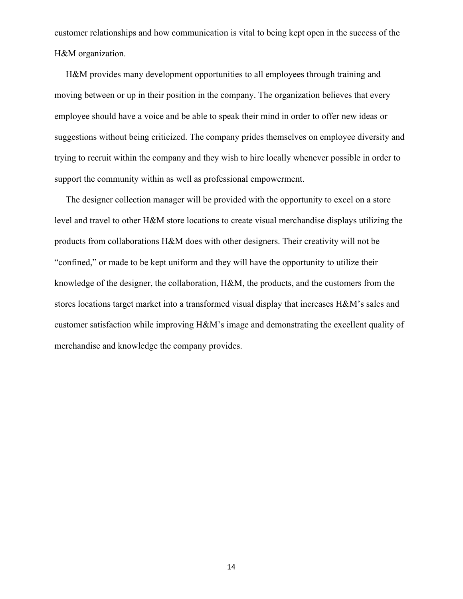customer relationships and how communication is vital to being kept open in the success of the H&M organization.

 H&M provides many development opportunities to all employees through training and moving between or up in their position in the company. The organization believes that every employee should have a voice and be able to speak their mind in order to offer new ideas or suggestions without being criticized. The company prides themselves on employee diversity and trying to recruit within the company and they wish to hire locally whenever possible in order to support the community within as well as professional empowerment.

 The designer collection manager will be provided with the opportunity to excel on a store level and travel to other H&M store locations to create visual merchandise displays utilizing the products from collaborations H&M does with other designers. Their creativity will not be "confined," or made to be kept uniform and they will have the opportunity to utilize their knowledge of the designer, the collaboration, H&M, the products, and the customers from the stores locations target market into a transformed visual display that increases H&M's sales and customer satisfaction while improving H&M's image and demonstrating the excellent quality of merchandise and knowledge the company provides.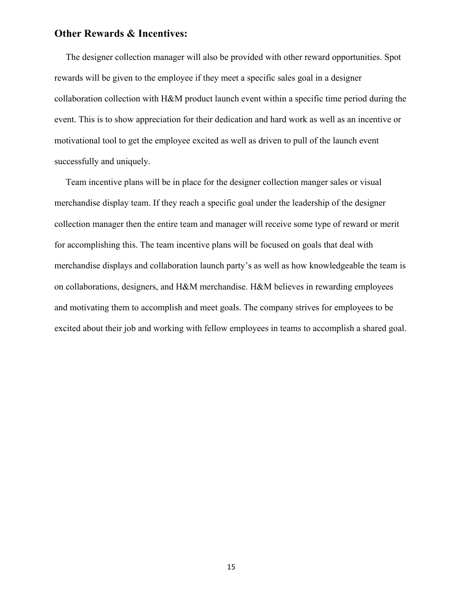#### **Other Rewards & Incentives:**

 The designer collection manager will also be provided with other reward opportunities. Spot rewards will be given to the employee if they meet a specific sales goal in a designer collaboration collection with H&M product launch event within a specific time period during the event. This is to show appreciation for their dedication and hard work as well as an incentive or motivational tool to get the employee excited as well as driven to pull of the launch event successfully and uniquely.

 Team incentive plans will be in place for the designer collection manger sales or visual merchandise display team. If they reach a specific goal under the leadership of the designer collection manager then the entire team and manager will receive some type of reward or merit for accomplishing this. The team incentive plans will be focused on goals that deal with merchandise displays and collaboration launch party's as well as how knowledgeable the team is on collaborations, designers, and H&M merchandise. H&M believes in rewarding employees and motivating them to accomplish and meet goals. The company strives for employees to be excited about their job and working with fellow employees in teams to accomplish a shared goal.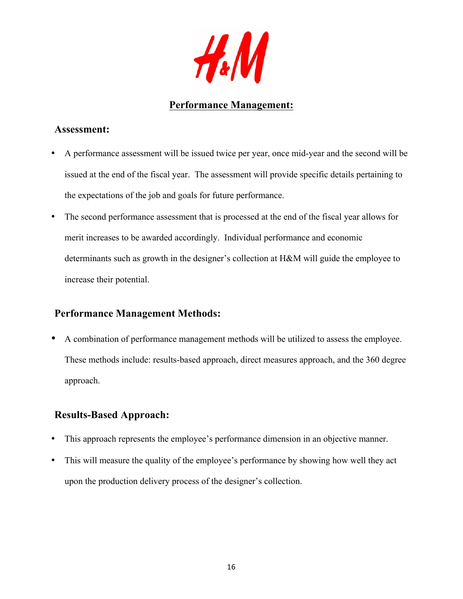

# **Performance Management:**

### **Assessment:**

- A performance assessment will be issued twice per year, once mid-year and the second will be issued at the end of the fiscal year. The assessment will provide specific details pertaining to the expectations of the job and goals for future performance.
- The second performance assessment that is processed at the end of the fiscal year allows for merit increases to be awarded accordingly. Individual performance and economic determinants such as growth in the designer's collection at H&M will guide the employee to increase their potential.

# **Performance Management Methods:**

• A combination of performance management methods will be utilized to assess the employee. These methods include: results-based approach, direct measures approach, and the 360 degree approach.

# **Results-Based Approach:**

- This approach represents the employee's performance dimension in an objective manner.
- This will measure the quality of the employee's performance by showing how well they act upon the production delivery process of the designer's collection.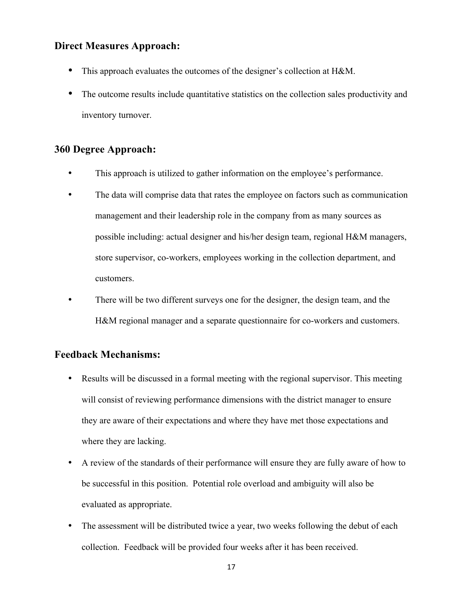### **Direct Measures Approach:**

- This approach evaluates the outcomes of the designer's collection at H&M.
- The outcome results include quantitative statistics on the collection sales productivity and inventory turnover.

# **360 Degree Approach:**

- This approach is utilized to gather information on the employee's performance.
- The data will comprise data that rates the employee on factors such as communication management and their leadership role in the company from as many sources as possible including: actual designer and his/her design team, regional H&M managers, store supervisor, co-workers, employees working in the collection department, and customers.
- There will be two different surveys one for the designer, the design team, and the H&M regional manager and a separate questionnaire for co-workers and customers.

## **Feedback Mechanisms:**

- Results will be discussed in a formal meeting with the regional supervisor. This meeting will consist of reviewing performance dimensions with the district manager to ensure they are aware of their expectations and where they have met those expectations and where they are lacking.
- A review of the standards of their performance will ensure they are fully aware of how to be successful in this position. Potential role overload and ambiguity will also be evaluated as appropriate.
- The assessment will be distributed twice a year, two weeks following the debut of each collection. Feedback will be provided four weeks after it has been received.